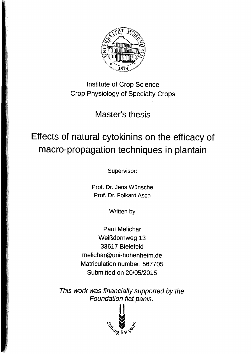

Institute of Crop Science Crop Physiology of Specialty Crops

Master's thesis

## Effects of natural cytokinins on the efficacy of macro-propagation techniques in plantain

Supervisor:

Prof. Dr. Jens Wünsche Prof. Dr. Folkard Asch

Written by

Paul Melichar Weißdornweg 13 33617 Bielefeld melichar@uni-hohenheim.de Matriculation number: 567705 Submitted on 20/05/2015

This work was financially supported by the Foundation fiat panis.